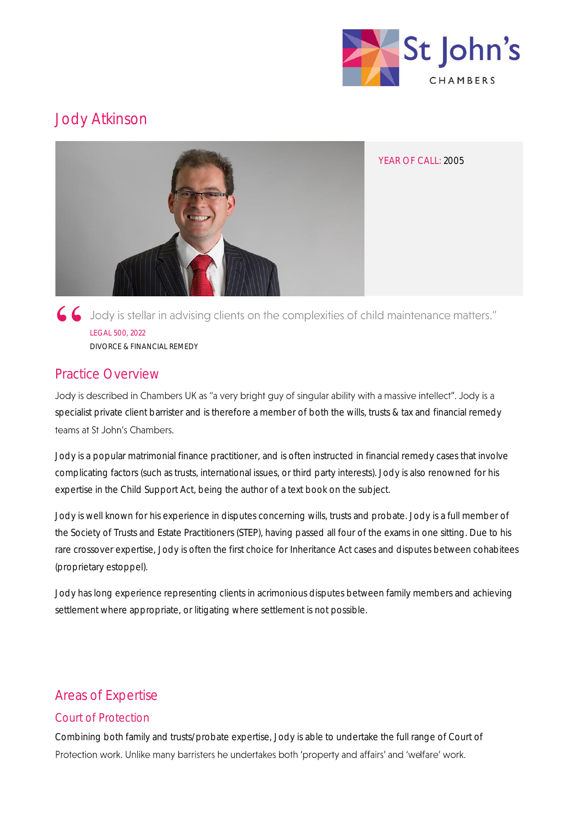

# Jody Atkinson



6 Jody is stellar in advising clients on the complexities of child maintenance matters." LEGAL 500, 2022 DIVORCE & FINANCIAL REMEDY

# Practice Overview

Jody is described in Chambers UK as "a very bright guy of singular ability with a massive intellect". Jody is a specialist private client barrister and is therefore a member of both the wills, trusts & tax and financial remedy teams at St John's Chambers.

Jody is a popular matrimonial finance practitioner, and is often instructed in financial remedy cases that involve complicating factors (such as trusts, international issues, or third party interests). Jody is also renowned for his expertise in the Child Support Act, being the author of a text book on the subject.

Jody is well known for his experience in disputes concerning wills, trusts and probate. Jody is a full member of the Society of Trusts and Estate Practitioners (STEP), having passed all four of the exams in one sitting. Due to his rare crossover expertise, Jody is often the first choice for Inheritance Act cases and disputes between cohabitees (proprietary estoppel).

Jody has long experience representing clients in acrimonious disputes between family members and achieving settlement where appropriate, or litigating where settlement is not possible.

# Areas of Expertise

### Court of Protection

Combining both family and trusts/probate expertise, Jody is able to undertake the full range of Court of Protection work. Unlike many barristers he undertakes both 'property and affairs' and 'welfare' work.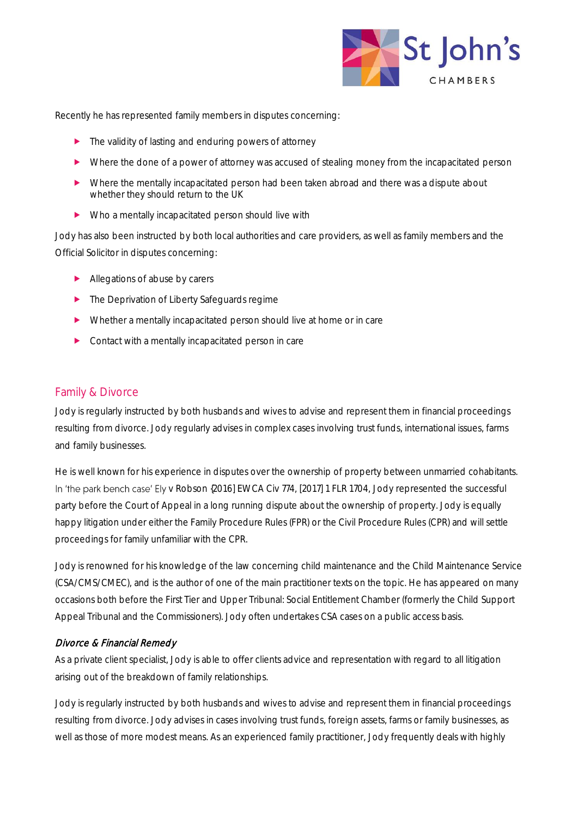

Recently he has represented family members in disputes concerning:

- ▶ The validity of lasting and enduring powers of attorney
- Where the done of a power of attorney was accused of stealing money from the incapacitated person
- Where the mentally incapacitated person had been taken abroad and there was a dispute about whether they should return to the UK
- Who a mentally incapacitated person should live with

Jody has also been instructed by both local authorities and care providers, as well as family members and the Official Solicitor in disputes concerning:

- Allegations of abuse by carers
- **The Deprivation of Liberty Safeguards regime**
- Whether a mentally incapacitated person should live at home or in care
- **Contact with a mentally incapacitated person in care**

#### Family & Divorce

Jody is regularly instructed by both husbands and wives to advise and represent them in financial proceedings resulting from divorce. Jody regularly advises in complex cases involving trust funds, international issues, farms and family businesses.

He is well known for his experience in disputes over the ownership of property between unmarried cohabitants. In 'the park bench case' Ely v Robson {2016] EWCA Civ 774, [2017] 1 FLR 1704, Jody represented the successful party before the Court of Appeal in a long running dispute about the ownership of property. Jody is equally happy litigation under either the Family Procedure Rules (FPR) or the Civil Procedure Rules (CPR) and will settle proceedings for family unfamiliar with the CPR.

Jody is renowned for his knowledge of the law concerning child maintenance and the Child Maintenance Service (CSA/CMS/CMEC), and is the author of one of the main practitioner texts on the topic. He has appeared on many occasions both before the First Tier and Upper Tribunal: Social Entitlement Chamber (formerly the Child Support Appeal Tribunal and the Commissioners). Jody often undertakes CSA cases on a public access basis.

#### Divorce & Financial Remedy

As a private client specialist, Jody is able to offer clients advice and representation with regard to all litigation arising out of the breakdown of family relationships.

Jody is regularly instructed by both husbands and wives to advise and represent them in financial proceedings resulting from divorce. Jody advises in cases involving trust funds, foreign assets, farms or family businesses, as well as those of more modest means. As an experienced family practitioner, Jody frequently deals with highly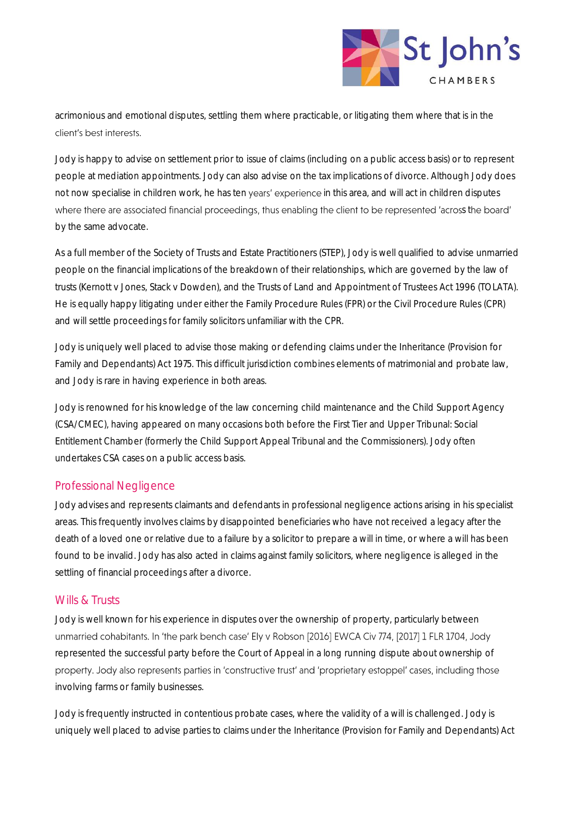

acrimonious and emotional disputes, settling them where practicable, or litigating them where that is in the client's best interests.

Jody is happy to advise on settlement prior to issue of claims (including on a public access basis) or to represent people at mediation appointments. Jody can also advise on the tax implications of divorce. Although Jody does not now specialise in children work, he has ten years' experience in this area, and will act in children disputes where there are associated financial proceedings, thus enabling the client to be represented 'across the board' by the same advocate.

As a full member of the Society of Trusts and Estate Practitioners (STEP), Jody is well qualified to advise unmarried people on the financial implications of the breakdown of their relationships, which are governed by the law of trusts (Kernott v Jones, Stack v Dowden), and the Trusts of Land and Appointment of Trustees Act 1996 (TOLATA). He is equally happy litigating under either the Family Procedure Rules (FPR) or the Civil Procedure Rules (CPR) and will settle proceedings for family solicitors unfamiliar with the CPR.

Jody is uniquely well placed to advise those making or defending claims under the Inheritance (Provision for Family and Dependants) Act 1975. This difficult jurisdiction combines elements of matrimonial and probate law, and Jody is rare in having experience in both areas.

Jody is renowned for his knowledge of the law concerning child maintenance and the Child Support Agency (CSA/CMEC), having appeared on many occasions both before the First Tier and Upper Tribunal: Social Entitlement Chamber (formerly the Child Support Appeal Tribunal and the Commissioners). Jody often undertakes CSA cases on a public access basis.

#### Professional Negligence

Jody advises and represents claimants and defendants in professional negligence actions arising in his specialist areas. This frequently involves claims by disappointed beneficiaries who have not received a legacy after the death of a loved one or relative due to a failure by a solicitor to prepare a will in time, or where a will has been found to be invalid. Jody has also acted in claims against family solicitors, where negligence is alleged in the settling of financial proceedings after a divorce.

#### Wills & Trusts

Jody is well known for his experience in disputes over the ownership of property, particularly between unmarried cohabitants. In 'the park bench case' Ely v Robson [2016] EWCA Civ 774, [2017] 1 FLR 1704, Jody represented the successful party before the Court of Appeal in a long running dispute about ownership of property. Jody also represents parties in 'constructive trust' and 'proprietary estoppel' cases, including those involving farms or family businesses.

Jody is frequently instructed in contentious probate cases, where the validity of a will is challenged. Jody is uniquely well placed to advise parties to claims under the Inheritance (Provision for Family and Dependants) Act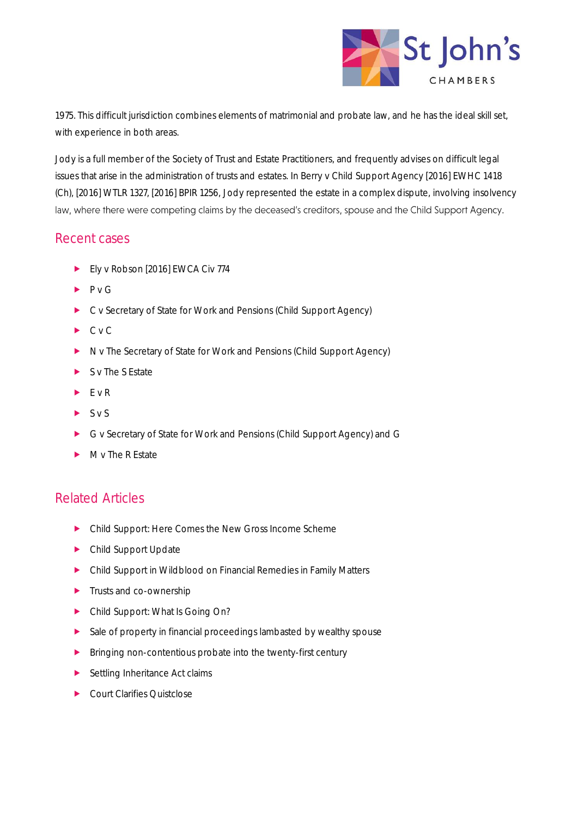

1975. This difficult jurisdiction combines elements of matrimonial and probate law, and he has the ideal skill set, with experience in both areas.

Jody is a full member of the Society of Trust and Estate Practitioners, and frequently advises on difficult legal issues that arise in the administration of trusts and estates. In Berry v Child Support Agency [2016] EWHC 1418 (Ch), [2016] WTLR 1327, [2016] BPIR 1256, Jody represented the estate in a complex dispute, involving insolvency law, where there were competing claims by the deceased's creditors, spouse and the Child Support Agency.

# Recent cases

- Ely v Robson [2016] EWCA Civ 774
- $\blacktriangleright$  P v G
- ▶ C v Secretary of State for Work and Pensions (Child Support Agency)
- $\blacktriangleright$  C v C
- N v The Secretary of State for Work and Pensions (Child Support Agency)
- $S$  v The S Estate
- $\blacktriangleright$  E v R
- $SVS$
- G v Secretary of State for Work and Pensions (Child Support Agency) and G
- $\blacktriangleright$  M v The R Estate

# Related Articles

- Child Support: Here Comes the New Gross Income Scheme
- ▶ Child Support Update
- Child Support in Wildblood on Financial Remedies in Family Matters
- **Trusts and co-ownership**
- ▶ Child Support: What Is Going On?
- Sale of property in financial proceedings lambasted by wealthy spouse
- **Bringing non-contentious probate into the twenty-first century**
- ▶ Settling Inheritance Act claims
- ▶ Court Clarifies Quistclose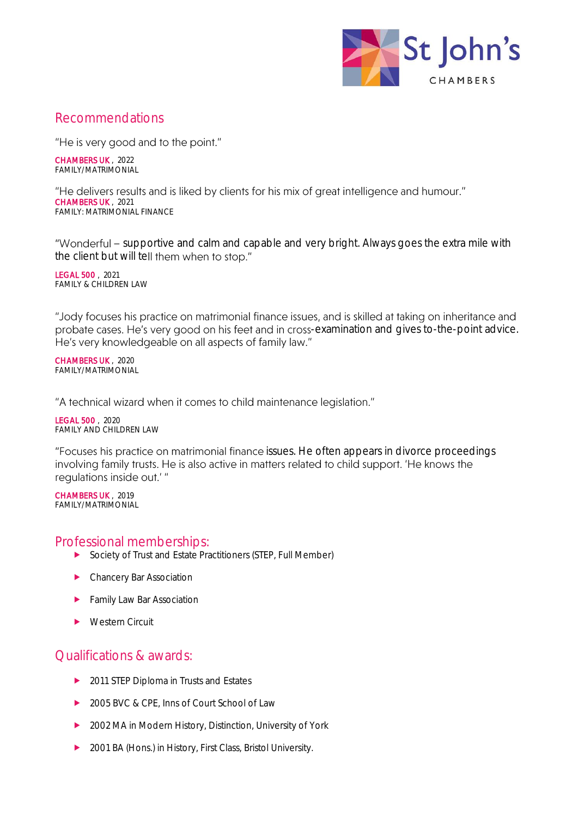

# Recommendations

"He is very good and to the point."

CHAMBERS UK , 2022 FAMILY/MATRIMONIAL

"He delivers results and is liked by clients for his mix of great intelligence and humour." CHAMBERS UK , 2021 FAMILY: MATRIMONIAL FINANCE

"Wonderful - supportive and calm and capable and very bright. Always goes the extra mile with the client but will tell them when to stop."

LEGAL 500 , 2021 FAMILY & CHILDREN LAW

"Jody focuses his practice on matrimonial finance issues, and is skilled at taking on inheritance and probate cases. He's very good on his feet and in cross-examination and gives to-the-point advice. He's very knowledgeable on all aspects of family law."

CHAMBERS UK , 2020 FAMILY/MATRIMONIAL

"A technical wizard when it comes to child maintenance legislation."

LEGAL 500 , 2020 FAMILY AND CHILDREN LAW

"Focuses his practice on matrimonial finance issues. He often appears in divorce proceedings involving family trusts. He is also active in matters related to child support. 'He knows the requlations inside out.'"

CHAMBERS UK , 2019 FAMILY/MATRIMONIAL

#### Professional memberships:

- ▶ Society of Trust and Estate Practitioners (STEP, Full Member)
- **EXECHANCERY Bar Association**
- **Family Law Bar Association**
- ▶ Western Circuit

# Qualifications & awards:

- ▶ 2011 STEP Diploma in Trusts and Estates
- ▶ 2005 BVC & CPE, Inns of Court School of Law
- ▶ 2002 MA in Modern History, Distinction, University of York
- ▶ 2001 BA (Hons.) in History, First Class, Bristol University.